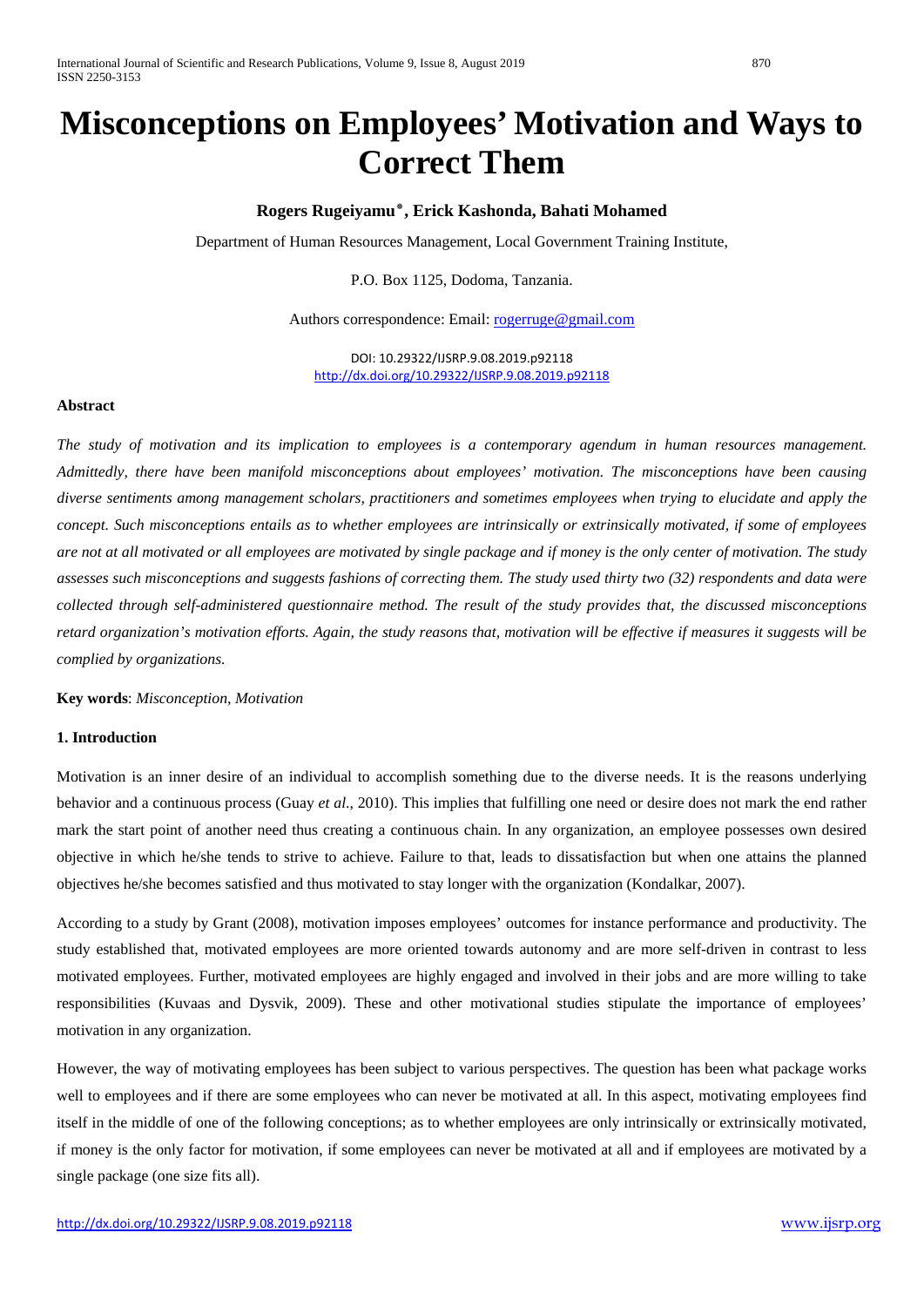# **Misconceptions on Employees' Motivation and Ways to Correct Them**

# **Rogers Rugeiyamu٭, Erick Kashonda, Bahati Mohamed**

Department of Human Resources Management, Local Government Training Institute,

P.O. Box 1125, Dodoma, Tanzania.

Authors correspondence: Email: [rogerruge@gmail.com](mailto:rogerruge@gmail.com)

DOI: 10.29322/IJSRP.9.08.2019.p92118 <http://dx.doi.org/10.29322/IJSRP.9.08.2019.p92118>

# **Abstract**

*The study of motivation and its implication to employees is a contemporary agendum in human resources management. Admittedly, there have been manifold misconceptions about employees' motivation. The misconceptions have been causing diverse sentiments among management scholars, practitioners and sometimes employees when trying to elucidate and apply the concept. Such misconceptions entails as to whether employees are intrinsically or extrinsically motivated, if some of employees are not at all motivated or all employees are motivated by single package and if money is the only center of motivation. The study assesses such misconceptions and suggests fashions of correcting them. The study used thirty two (32) respondents and data were collected through self-administered questionnaire method. The result of the study provides that, the discussed misconceptions retard organization's motivation efforts. Again, the study reasons that, motivation will be effective if measures it suggests will be complied by organizations.*

**Key words**: *Misconception, Motivation*

# **1. Introduction**

Motivation is an inner desire of an individual to accomplish something due to the diverse needs. It is the reasons underlying behavior and a continuous process (Guay *et al*., 2010). This implies that fulfilling one need or desire does not mark the end rather mark the start point of another need thus creating a continuous chain. In any organization, an employee possesses own desired objective in which he/she tends to strive to achieve. Failure to that, leads to dissatisfaction but when one attains the planned objectives he/she becomes satisfied and thus motivated to stay longer with the organization (Kondalkar, 2007).

According to a study by Grant (2008), motivation imposes employees' outcomes for instance performance and productivity. The study established that, motivated employees are more oriented towards autonomy and are more self-driven in contrast to less motivated employees. Further, motivated employees are highly engaged and involved in their jobs and are more willing to take responsibilities (Kuvaas and Dysvik, 2009). These and other motivational studies stipulate the importance of employees' motivation in any organization.

However, the way of motivating employees has been subject to various perspectives. The question has been what package works well to employees and if there are some employees who can never be motivated at all. In this aspect, motivating employees find itself in the middle of one of the following conceptions; as to whether employees are only intrinsically or extrinsically motivated, if money is the only factor for motivation, if some employees can never be motivated at all and if employees are motivated by a single package (one size fits all).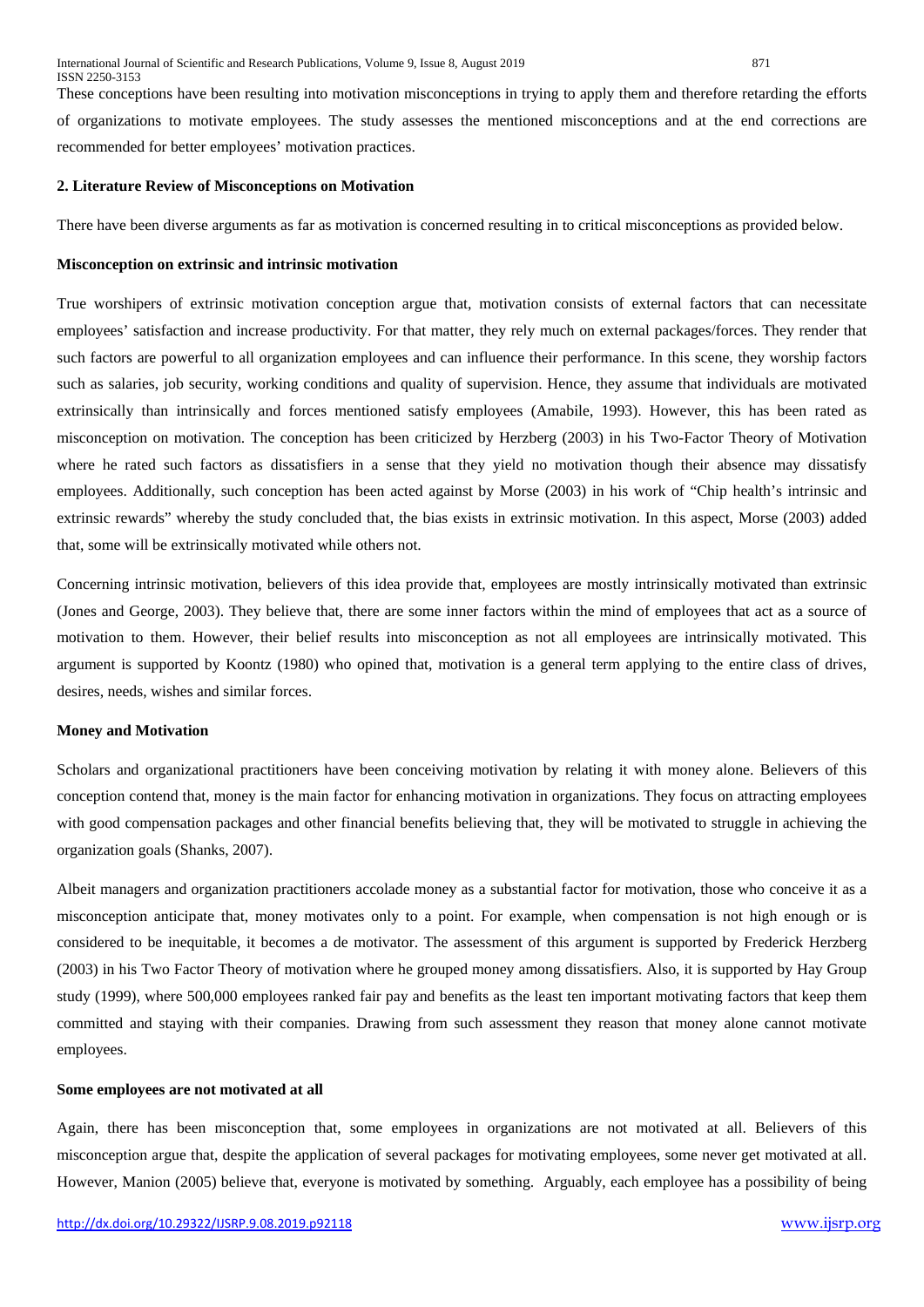These conceptions have been resulting into motivation misconceptions in trying to apply them and therefore retarding the efforts of organizations to motivate employees. The study assesses the mentioned misconceptions and at the end corrections are recommended for better employees' motivation practices.

#### **2. Literature Review of Misconceptions on Motivation**

There have been diverse arguments as far as motivation is concerned resulting in to critical misconceptions as provided below.

#### **Misconception on extrinsic and intrinsic motivation**

True worshipers of extrinsic motivation conception argue that, motivation consists of external factors that can necessitate employees' satisfaction and increase productivity. For that matter, they rely much on external packages/forces. They render that such factors are powerful to all organization employees and can influence their performance. In this scene, they worship factors such as salaries, job security, working conditions and quality of supervision. Hence, they assume that individuals are motivated extrinsically than intrinsically and forces mentioned satisfy employees (Amabile, 1993). However, this has been rated as misconception on motivation. The conception has been criticized by Herzberg (2003) in his Two-Factor Theory of Motivation where he rated such factors as dissatisfiers in a sense that they yield no motivation though their absence may dissatisfy employees. Additionally, such conception has been acted against by Morse (2003) in his work of "Chip health's intrinsic and extrinsic rewards" whereby the study concluded that, the bias exists in extrinsic motivation. In this aspect, Morse (2003) added that, some will be extrinsically motivated while others not.

Concerning intrinsic motivation, believers of this idea provide that, employees are mostly intrinsically motivated than extrinsic (Jones and George, 2003). They believe that, there are some inner factors within the mind of employees that act as a source of motivation to them. However, their belief results into misconception as not all employees are intrinsically motivated. This argument is supported by Koontz (1980) who opined that, motivation is a general term applying to the entire class of drives, desires, needs, wishes and similar forces.

#### **Money and Motivation**

Scholars and organizational practitioners have been conceiving motivation by relating it with money alone. Believers of this conception contend that, money is the main factor for enhancing motivation in organizations. They focus on attracting employees with good compensation packages and other financial benefits believing that, they will be motivated to struggle in achieving the organization goals (Shanks, 2007).

Albeit managers and organization practitioners accolade money as a substantial factor for motivation, those who conceive it as a misconception anticipate that, money motivates only to a point. For example, when compensation is not high enough or is considered to be inequitable, it becomes a de motivator. The assessment of this argument is supported by Frederick Herzberg (2003) in his Two Factor Theory of motivation where he grouped money among dissatisfiers. Also, it is supported by Hay Group study (1999), where 500,000 employees ranked fair pay and benefits as the least ten important motivating factors that keep them committed and staying with their companies. Drawing from such assessment they reason that money alone cannot motivate employees.

#### **Some employees are not motivated at all**

Again, there has been misconception that, some employees in organizations are not motivated at all. Believers of this misconception argue that, despite the application of several packages for motivating employees, some never get motivated at all. However, Manion (2005) believe that, everyone is motivated by something. Arguably, each employee has a possibility of being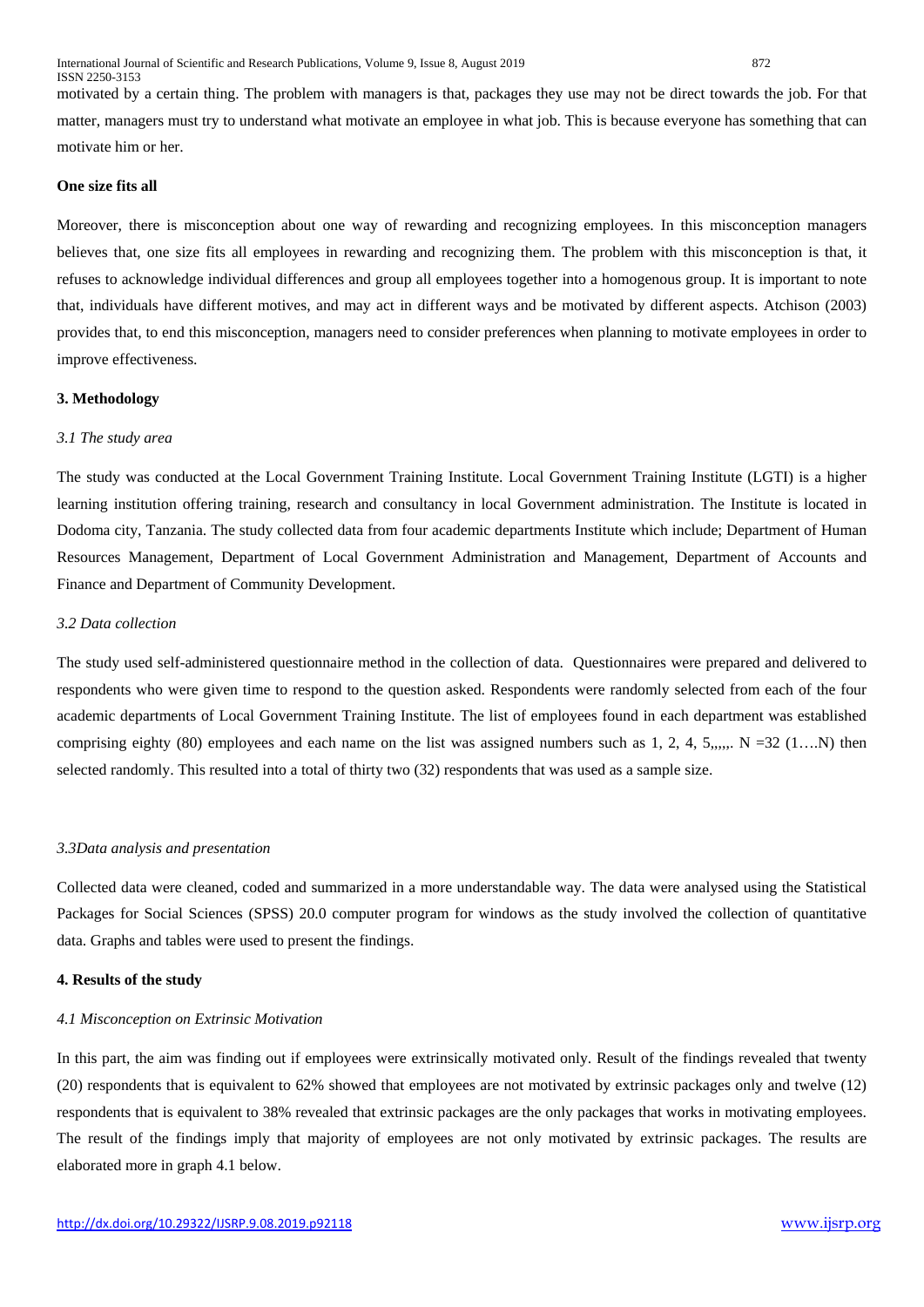motivated by a certain thing. The problem with managers is that, packages they use may not be direct towards the job. For that matter, managers must try to understand what motivate an employee in what job. This is because everyone has something that can motivate him or her.

#### **One size fits all**

Moreover, there is misconception about one way of rewarding and recognizing employees. In this misconception managers believes that, one size fits all employees in rewarding and recognizing them. The problem with this misconception is that, it refuses to acknowledge individual differences and group all employees together into a homogenous group. It is important to note that, individuals have different motives, and may act in different ways and be motivated by different aspects. Atchison (2003) provides that, to end this misconception, managers need to consider preferences when planning to motivate employees in order to improve effectiveness.

#### **3. Methodology**

#### *3.1 The study area*

The study was conducted at the Local Government Training Institute. Local Government Training Institute (LGTI) is a higher learning institution offering training, research and consultancy in local Government administration. The Institute is located in Dodoma city, Tanzania. The study collected data from four academic departments Institute which include; Department of Human Resources Management, Department of Local Government Administration and Management, Department of Accounts and Finance and Department of Community Development.

#### *3.2 Data collection*

The study used self-administered questionnaire method in the collection of data. Questionnaires were prepared and delivered to respondents who were given time to respond to the question asked. Respondents were randomly selected from each of the four academic departments of Local Government Training Institute. The list of employees found in each department was established comprising eighty (80) employees and each name on the list was assigned numbers such as  $1, 2, 4, 5, ..., N = 32$  (1...N) then selected randomly. This resulted into a total of thirty two (32) respondents that was used as a sample size.

#### *3.3Data analysis and presentation*

Collected data were cleaned, coded and summarized in a more understandable way. The data were analysed using the Statistical Packages for Social Sciences (SPSS) 20.0 computer program for windows as the study involved the collection of quantitative data. Graphs and tables were used to present the findings.

#### **4. Results of the study**

#### *4.1 Misconception on Extrinsic Motivation*

In this part, the aim was finding out if employees were extrinsically motivated only. Result of the findings revealed that twenty (20) respondents that is equivalent to 62% showed that employees are not motivated by extrinsic packages only and twelve (12) respondents that is equivalent to 38% revealed that extrinsic packages are the only packages that works in motivating employees. The result of the findings imply that majority of employees are not only motivated by extrinsic packages. The results are elaborated more in graph 4.1 below.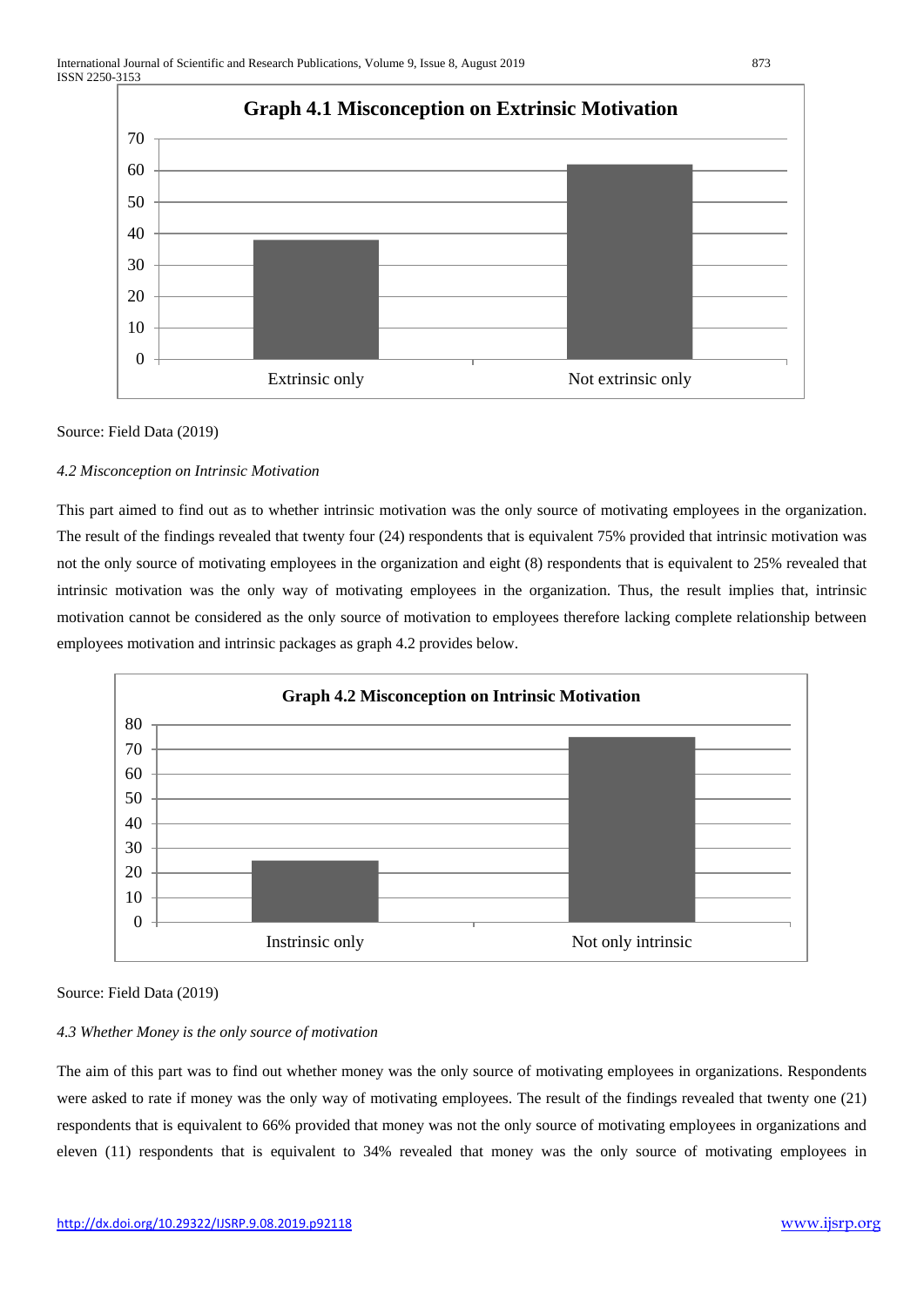

#### Source: Field Data (2019)

#### *4.2 Misconception on Intrinsic Motivation*

This part aimed to find out as to whether intrinsic motivation was the only source of motivating employees in the organization. The result of the findings revealed that twenty four (24) respondents that is equivalent 75% provided that intrinsic motivation was not the only source of motivating employees in the organization and eight (8) respondents that is equivalent to 25% revealed that intrinsic motivation was the only way of motivating employees in the organization. Thus, the result implies that, intrinsic motivation cannot be considered as the only source of motivation to employees therefore lacking complete relationship between employees motivation and intrinsic packages as graph 4.2 provides below.



#### Source: Field Data (2019)

#### *4.3 Whether Money is the only source of motivation*

The aim of this part was to find out whether money was the only source of motivating employees in organizations. Respondents were asked to rate if money was the only way of motivating employees. The result of the findings revealed that twenty one (21) respondents that is equivalent to 66% provided that money was not the only source of motivating employees in organizations and eleven (11) respondents that is equivalent to 34% revealed that money was the only source of motivating employees in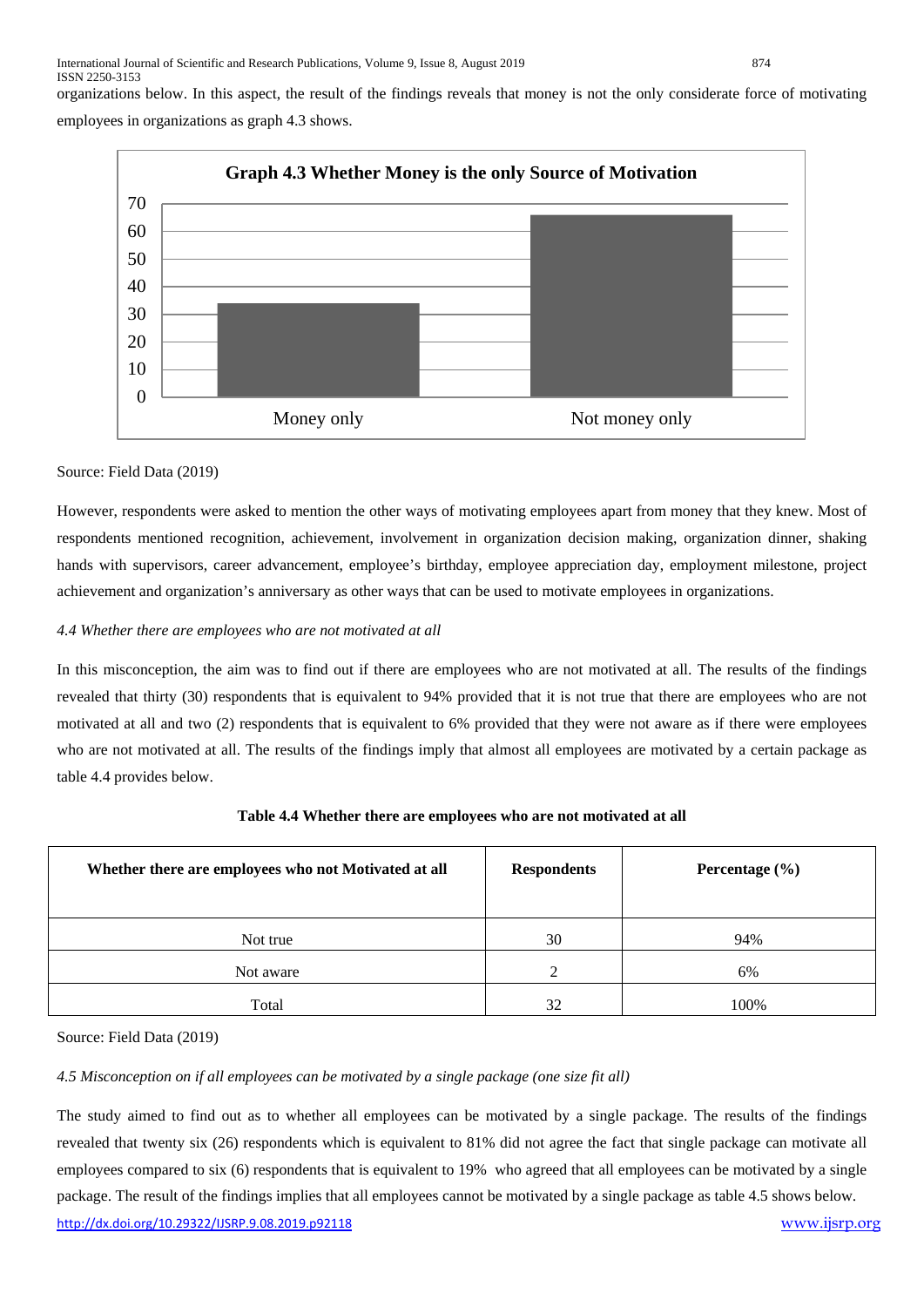International Journal of Scientific and Research Publications, Volume 9, Issue 8, August 2019 874 ISSN 2250-3153

organizations below. In this aspect, the result of the findings reveals that money is not the only considerate force of motivating

employees in organizations as graph 4.3 shows.



# Source: Field Data (2019)

However, respondents were asked to mention the other ways of motivating employees apart from money that they knew. Most of respondents mentioned recognition, achievement, involvement in organization decision making, organization dinner, shaking hands with supervisors, career advancement, employee's birthday, employee appreciation day, employment milestone, project achievement and organization's anniversary as other ways that can be used to motivate employees in organizations.

# *4.4 Whether there are employees who are not motivated at all*

In this misconception, the aim was to find out if there are employees who are not motivated at all. The results of the findings revealed that thirty (30) respondents that is equivalent to 94% provided that it is not true that there are employees who are not motivated at all and two (2) respondents that is equivalent to 6% provided that they were not aware as if there were employees who are not motivated at all. The results of the findings imply that almost all employees are motivated by a certain package as table 4.4 provides below.

| Whether there are employees who not Motivated at all | <b>Respondents</b> | Percentage $(\% )$ |
|------------------------------------------------------|--------------------|--------------------|
| Not true                                             | 30                 | 94%                |
| Not aware                                            | $\gamma$           | 6%                 |
| Total                                                | 32                 | 100%               |

# **Table 4.4 Whether there are employees who are not motivated at all**

Source: Field Data (2019)

# *4.5 Misconception on if all employees can be motivated by a single package (one size fit all)*

<http://dx.doi.org/10.29322/IJSRP.9.08.2019.p92118> [www.ijsrp.org](http://ijsrp.org/) The study aimed to find out as to whether all employees can be motivated by a single package. The results of the findings revealed that twenty six (26) respondents which is equivalent to 81% did not agree the fact that single package can motivate all employees compared to six (6) respondents that is equivalent to 19% who agreed that all employees can be motivated by a single package. The result of the findings implies that all employees cannot be motivated by a single package as table 4.5 shows below.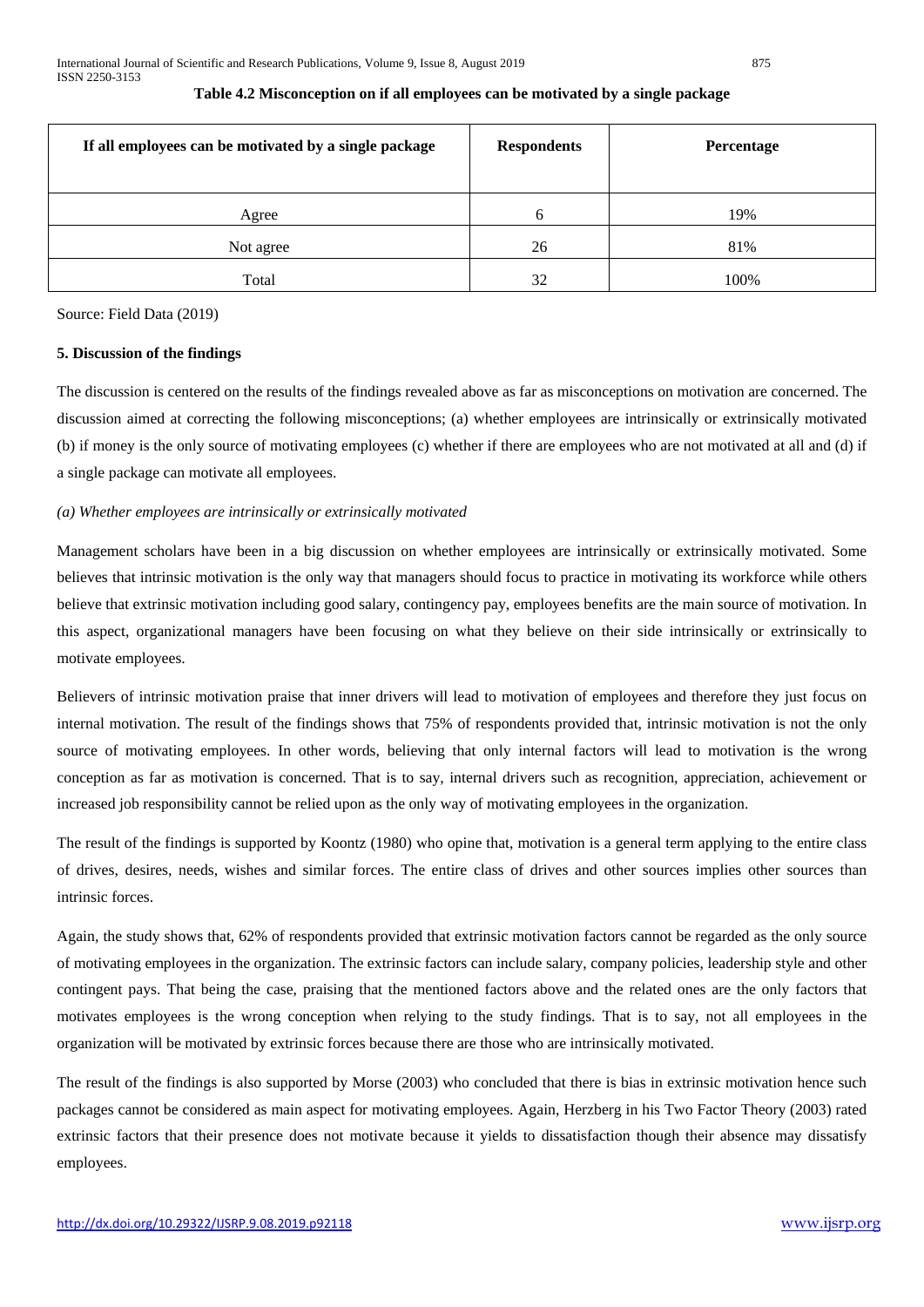| If all employees can be motivated by a single package | <b>Respondents</b> | Percentage |
|-------------------------------------------------------|--------------------|------------|
| Agree                                                 | 6                  | 19%        |
| Not agree                                             | 26                 | 81%        |
| Total                                                 | 32                 | 100%       |

#### **Table 4.2 Misconception on if all employees can be motivated by a single package**

Source: Field Data (2019)

#### **5. Discussion of the findings**

The discussion is centered on the results of the findings revealed above as far as misconceptions on motivation are concerned. The discussion aimed at correcting the following misconceptions; (a) whether employees are intrinsically or extrinsically motivated (b) if money is the only source of motivating employees (c) whether if there are employees who are not motivated at all and (d) if a single package can motivate all employees.

# *(a) Whether employees are intrinsically or extrinsically motivated*

Management scholars have been in a big discussion on whether employees are intrinsically or extrinsically motivated. Some believes that intrinsic motivation is the only way that managers should focus to practice in motivating its workforce while others believe that extrinsic motivation including good salary, contingency pay, employees benefits are the main source of motivation. In this aspect, organizational managers have been focusing on what they believe on their side intrinsically or extrinsically to motivate employees.

Believers of intrinsic motivation praise that inner drivers will lead to motivation of employees and therefore they just focus on internal motivation. The result of the findings shows that 75% of respondents provided that, intrinsic motivation is not the only source of motivating employees. In other words, believing that only internal factors will lead to motivation is the wrong conception as far as motivation is concerned. That is to say, internal drivers such as recognition, appreciation, achievement or increased job responsibility cannot be relied upon as the only way of motivating employees in the organization.

The result of the findings is supported by Koontz (1980) who opine that, motivation is a general term applying to the entire class of drives, desires, needs, wishes and similar forces. The entire class of drives and other sources implies other sources than intrinsic forces.

Again, the study shows that, 62% of respondents provided that extrinsic motivation factors cannot be regarded as the only source of motivating employees in the organization. The extrinsic factors can include salary, company policies, leadership style and other contingent pays. That being the case, praising that the mentioned factors above and the related ones are the only factors that motivates employees is the wrong conception when relying to the study findings. That is to say, not all employees in the organization will be motivated by extrinsic forces because there are those who are intrinsically motivated.

The result of the findings is also supported by Morse (2003) who concluded that there is bias in extrinsic motivation hence such packages cannot be considered as main aspect for motivating employees. Again, Herzberg in his Two Factor Theory (2003) rated extrinsic factors that their presence does not motivate because it yields to dissatisfaction though their absence may dissatisfy employees.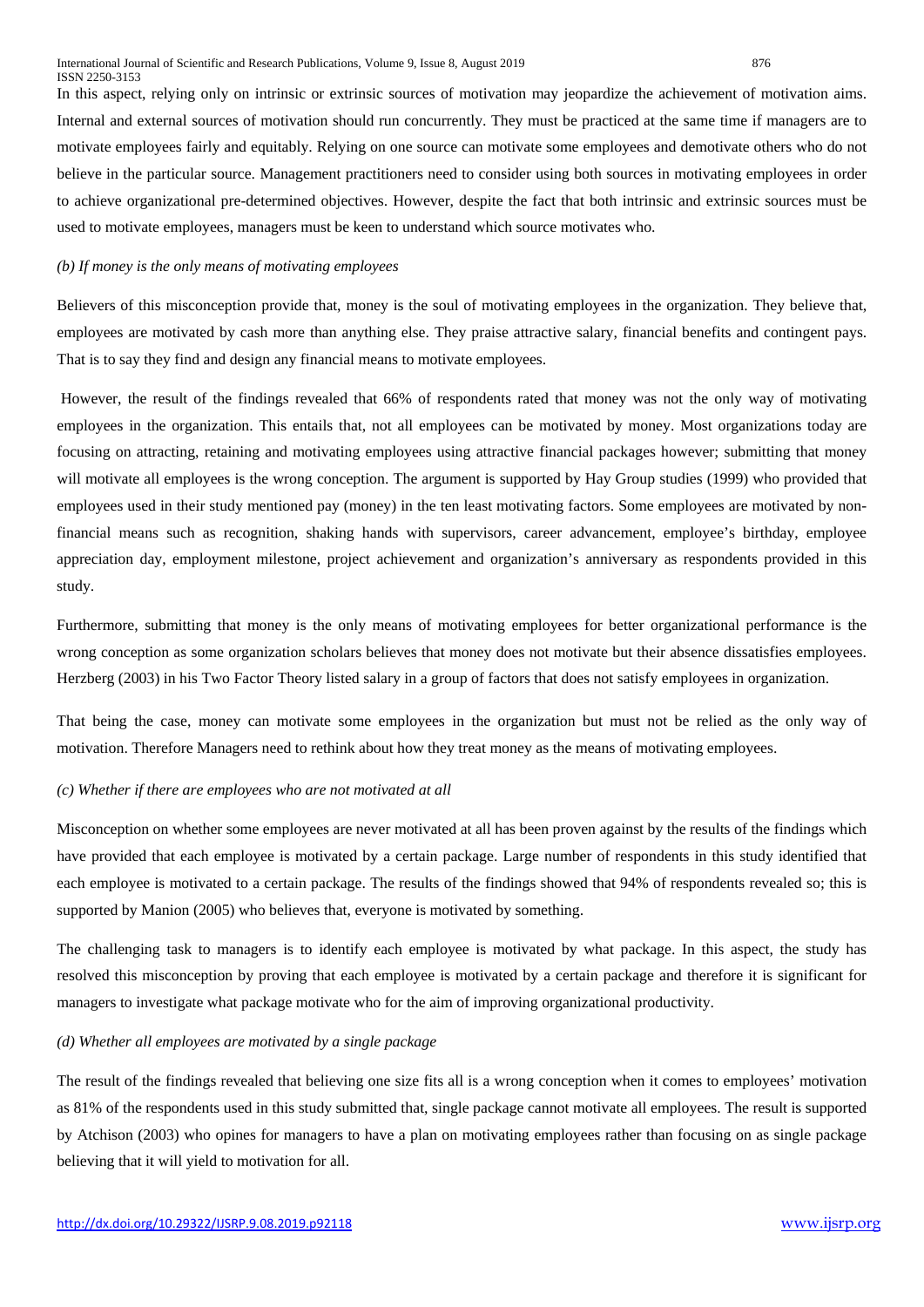In this aspect, relying only on intrinsic or extrinsic sources of motivation may jeopardize the achievement of motivation aims. Internal and external sources of motivation should run concurrently. They must be practiced at the same time if managers are to motivate employees fairly and equitably. Relying on one source can motivate some employees and demotivate others who do not believe in the particular source. Management practitioners need to consider using both sources in motivating employees in order to achieve organizational pre-determined objectives. However, despite the fact that both intrinsic and extrinsic sources must be used to motivate employees, managers must be keen to understand which source motivates who.

### *(b) If money is the only means of motivating employees*

Believers of this misconception provide that, money is the soul of motivating employees in the organization. They believe that, employees are motivated by cash more than anything else. They praise attractive salary, financial benefits and contingent pays. That is to say they find and design any financial means to motivate employees.

However, the result of the findings revealed that 66% of respondents rated that money was not the only way of motivating employees in the organization. This entails that, not all employees can be motivated by money. Most organizations today are focusing on attracting, retaining and motivating employees using attractive financial packages however; submitting that money will motivate all employees is the wrong conception. The argument is supported by Hay Group studies (1999) who provided that employees used in their study mentioned pay (money) in the ten least motivating factors. Some employees are motivated by nonfinancial means such as recognition, shaking hands with supervisors, career advancement, employee's birthday, employee appreciation day, employment milestone, project achievement and organization's anniversary as respondents provided in this study.

Furthermore, submitting that money is the only means of motivating employees for better organizational performance is the wrong conception as some organization scholars believes that money does not motivate but their absence dissatisfies employees. Herzberg (2003) in his Two Factor Theory listed salary in a group of factors that does not satisfy employees in organization.

That being the case, money can motivate some employees in the organization but must not be relied as the only way of motivation. Therefore Managers need to rethink about how they treat money as the means of motivating employees.

# *(c) Whether if there are employees who are not motivated at all*

Misconception on whether some employees are never motivated at all has been proven against by the results of the findings which have provided that each employee is motivated by a certain package. Large number of respondents in this study identified that each employee is motivated to a certain package. The results of the findings showed that 94% of respondents revealed so; this is supported by Manion (2005) who believes that, everyone is motivated by something.

The challenging task to managers is to identify each employee is motivated by what package. In this aspect, the study has resolved this misconception by proving that each employee is motivated by a certain package and therefore it is significant for managers to investigate what package motivate who for the aim of improving organizational productivity.

#### *(d) Whether all employees are motivated by a single package*

The result of the findings revealed that believing one size fits all is a wrong conception when it comes to employees' motivation as 81% of the respondents used in this study submitted that, single package cannot motivate all employees. The result is supported by Atchison (2003) who opines for managers to have a plan on motivating employees rather than focusing on as single package believing that it will yield to motivation for all.